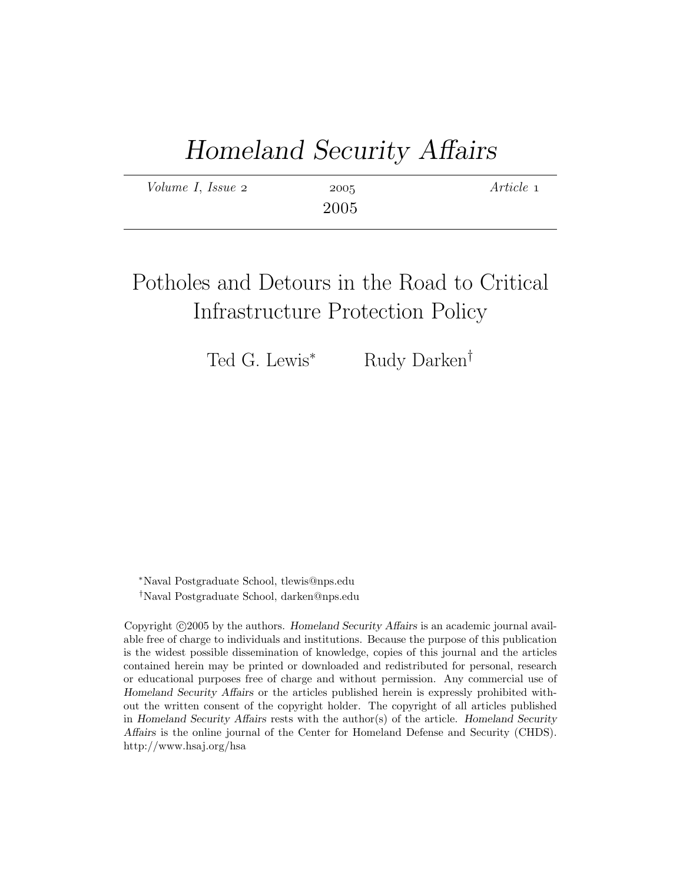# Homeland Security Affairs

| Volume I, Issue 2 | 2005 | Article 1 |
|-------------------|------|-----------|
|                   | 2005 |           |

## Potholes and Detours in the Road to Critical Infrastructure Protection Policy

Ted G. Lewis<sup>∗</sup> Rudy Darken<sup>†</sup>

<sup>∗</sup>Naval Postgraduate School, tlewis@nps.edu †Naval Postgraduate School, darken@nps.edu

Copyright ©2005 by the authors. Homeland Security Affairs is an academic journal available free of charge to individuals and institutions. Because the purpose of this publication is the widest possible dissemination of knowledge, copies of this journal and the articles contained herein may be printed or downloaded and redistributed for personal, research or educational purposes free of charge and without permission. Any commercial use of Homeland Security Affairs or the articles published herein is expressly prohibited without the written consent of the copyright holder. The copyright of all articles published in Homeland Security Affairs rests with the author(s) of the article. Homeland Security Affairs is the online journal of the Center for Homeland Defense and Security (CHDS). http://www.hsaj.org/hsa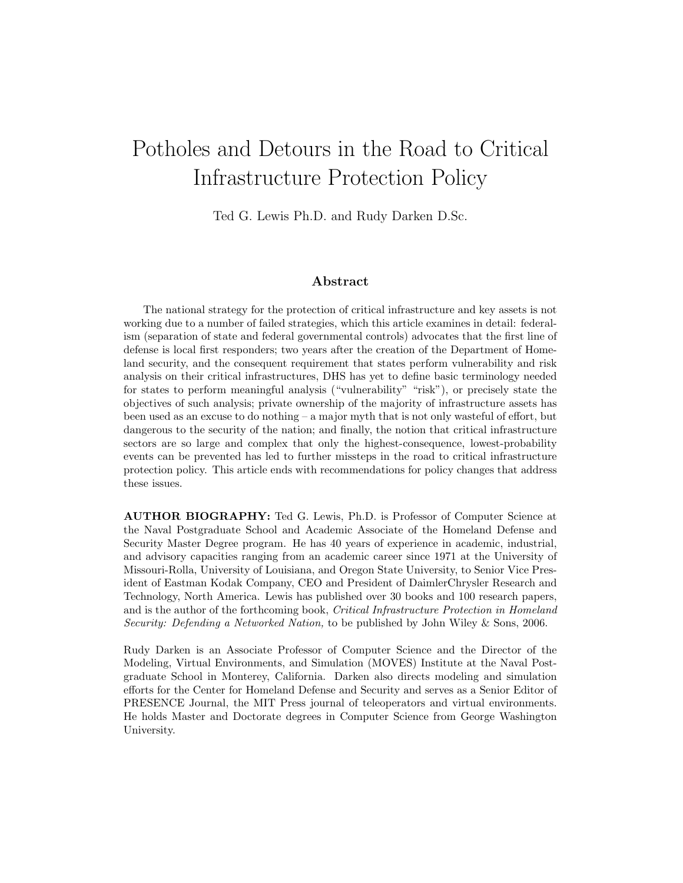## Potholes and Detours in the Road to Critical Infrastructure Protection Policy

Ted G. Lewis Ph.D. and Rudy Darken D.Sc.

#### Abstract

The national strategy for the protection of critical infrastructure and key assets is not working due to a number of failed strategies, which this article examines in detail: federalism (separation of state and federal governmental controls) advocates that the first line of defense is local first responders; two years after the creation of the Department of Homeland security, and the consequent requirement that states perform vulnerability and risk analysis on their critical infrastructures, DHS has yet to define basic terminology needed for states to perform meaningful analysis ("vulnerability" "risk"), or precisely state the objectives of such analysis; private ownership of the majority of infrastructure assets has been used as an excuse to do nothing – a major myth that is not only wasteful of effort, but dangerous to the security of the nation; and finally, the notion that critical infrastructure sectors are so large and complex that only the highest-consequence, lowest-probability events can be prevented has led to further missteps in the road to critical infrastructure protection policy. This article ends with recommendations for policy changes that address these issues.

AUTHOR BIOGRAPHY: Ted G. Lewis, Ph.D. is Professor of Computer Science at the Naval Postgraduate School and Academic Associate of the Homeland Defense and Security Master Degree program. He has 40 years of experience in academic, industrial, and advisory capacities ranging from an academic career since 1971 at the University of Missouri-Rolla, University of Louisiana, and Oregon State University, to Senior Vice President of Eastman Kodak Company, CEO and President of DaimlerChrysler Research and Technology, North America. Lewis has published over 30 books and 100 research papers, and is the author of the forthcoming book, Critical Infrastructure Protection in Homeland Security: Defending a Networked Nation, to be published by John Wiley & Sons, 2006.

Rudy Darken is an Associate Professor of Computer Science and the Director of the Modeling, Virtual Environments, and Simulation (MOVES) Institute at the Naval Postgraduate School in Monterey, California. Darken also directs modeling and simulation efforts for the Center for Homeland Defense and Security and serves as a Senior Editor of PRESENCE Journal, the MIT Press journal of teleoperators and virtual environments. He holds Master and Doctorate degrees in Computer Science from George Washington University.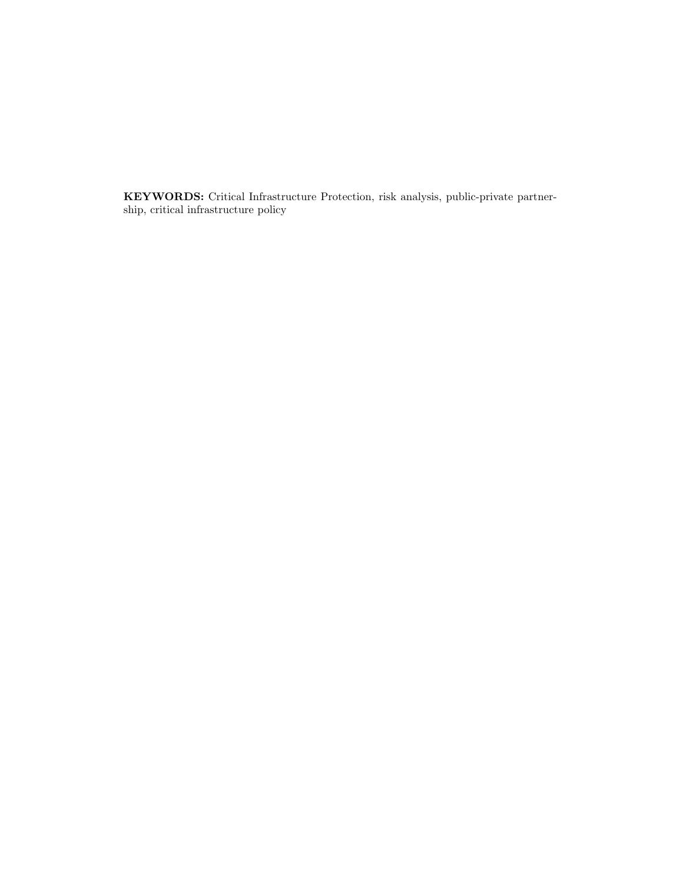KEYWORDS: Critical Infrastructure Protection, risk analysis, public-private partnership, critical infrastructure policy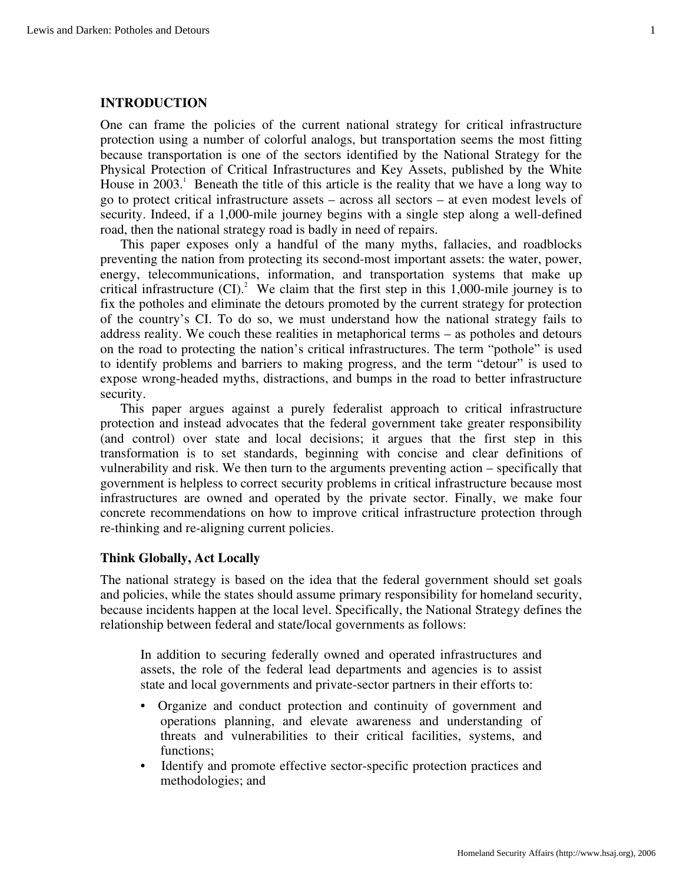#### **INTRODUCTION**

One can frame the policies of the current national strategy for critical infrastructure protection using a number of colorful analogs, but transportation seems the most fitting because transportation is one of the sectors identified by the National Strategy for the Physical Protection of Critical Infrastructures and Key Assets, published by the White House in 2003.<sup>1</sup> Beneath the title of this article is the reality that we have a long way to go to protect critical infrastructure assets – across all sectors – at even modest levels of security. Indeed, if a 1,000-mile journey begins with a single step along a well-defined road, then the national strategy road is badly in need of repairs.

This paper exposes only a handful of the many myths, fallacies, and roadblocks preventing the nation from protecting its second-most important assets: the water, power, energy, telecommunications, information, and transportation systems that make up critical infrastructure  $(CI)^2$ . We claim that the first step in this 1,000-mile journey is to fix the potholes and eliminate the detours promoted by the current strategy for protection of the country's CI. To do so, we must understand how the national strategy fails to address reality. We couch these realities in metaphorical terms – as potholes and detours on the road to protecting the nation's critical infrastructures. The term "pothole" is used to identify problems and barriers to making progress, and the term "detour" is used to expose wrong-headed myths, distractions, and bumps in the road to better infrastructure security.

This paper argues against a purely federalist approach to critical infrastructure protection and instead advocates that the federal government take greater responsibility (and control) over state and local decisions; it argues that the first step in this transformation is to set standards, beginning with concise and clear definitions of vulnerability and risk. We then turn to the arguments preventing action – specifically that government is helpless to correct security problems in critical infrastructure because most infrastructures are owned and operated by the private sector. Finally, we make four concrete recommendations on how to improve critical infrastructure protection through re-thinking and re-aligning current policies.

#### **Think Globally, Act Locally**

The national strategy is based on the idea that the federal government should set goals and policies, while the states should assume primary responsibility for homeland security, because incidents happen at the local level. Specifically, the National Strategy defines the relationship between federal and state/local governments as follows:

In addition to securing federally owned and operated infrastructures and assets, the role of the federal lead departments and agencies is to assist state and local governments and private-sector partners in their efforts to:

- Organize and conduct protection and continuity of government and operations planning, and elevate awareness and understanding of threats and vulnerabilities to their critical facilities, systems, and functions;
- Identify and promote effective sector-specific protection practices and methodologies; and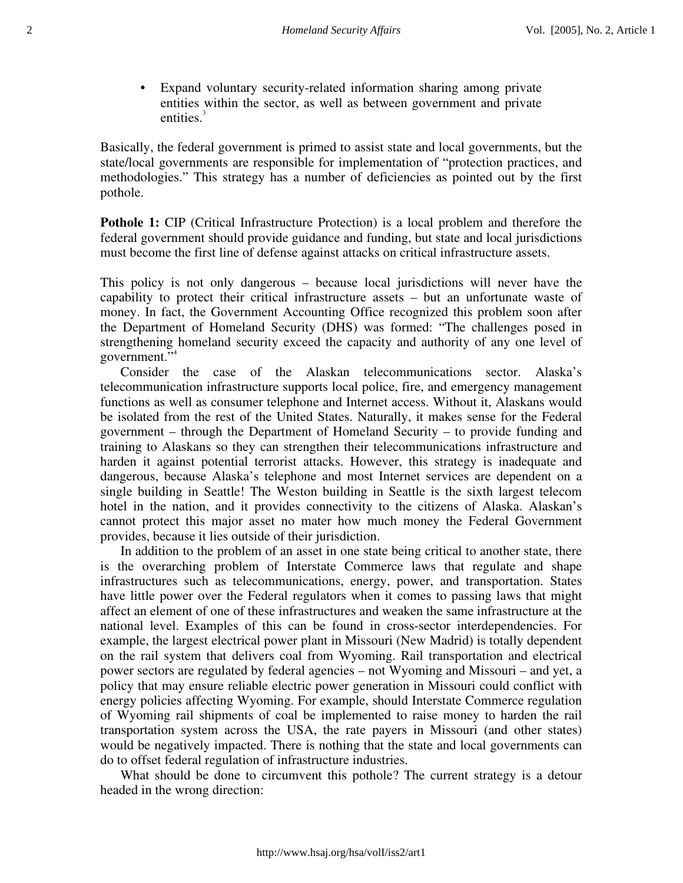• Expand voluntary security-related information sharing among private entities within the sector, as well as between government and private entities.<sup>3</sup>

Basically, the federal government is primed to assist state and local governments, but the state/local governments are responsible for implementation of "protection practices, and methodologies." This strategy has a number of deficiencies as pointed out by the first pothole.

**Pothole 1:** CIP (Critical Infrastructure Protection) is a local problem and therefore the federal government should provide guidance and funding, but state and local jurisdictions must become the first line of defense against attacks on critical infrastructure assets.

This policy is not only dangerous – because local jurisdictions will never have the capability to protect their critical infrastructure assets – but an unfortunate waste of money. In fact, the Government Accounting Office recognized this problem soon after the Department of Homeland Security (DHS) was formed: "The challenges posed in strengthening homeland security exceed the capacity and authority of any one level of government."4

Consider the case of the Alaskan telecommunications sector. Alaska's telecommunication infrastructure supports local police, fire, and emergency management functions as well as consumer telephone and Internet access. Without it, Alaskans would be isolated from the rest of the United States. Naturally, it makes sense for the Federal government – through the Department of Homeland Security – to provide funding and training to Alaskans so they can strengthen their telecommunications infrastructure and harden it against potential terrorist attacks. However, this strategy is inadequate and dangerous, because Alaska's telephone and most Internet services are dependent on a single building in Seattle! The Weston building in Seattle is the sixth largest telecom hotel in the nation, and it provides connectivity to the citizens of Alaska. Alaskan's cannot protect this major asset no mater how much money the Federal Government provides, because it lies outside of their jurisdiction.

In addition to the problem of an asset in one state being critical to another state, there is the overarching problem of Interstate Commerce laws that regulate and shape infrastructures such as telecommunications, energy, power, and transportation. States have little power over the Federal regulators when it comes to passing laws that might affect an element of one of these infrastructures and weaken the same infrastructure at the national level. Examples of this can be found in cross-sector interdependencies. For example, the largest electrical power plant in Missouri (New Madrid) is totally dependent on the rail system that delivers coal from Wyoming. Rail transportation and electrical power sectors are regulated by federal agencies – not Wyoming and Missouri – and yet, a policy that may ensure reliable electric power generation in Missouri could conflict with energy policies affecting Wyoming. For example, should Interstate Commerce regulation of Wyoming rail shipments of coal be implemented to raise money to harden the rail transportation system across the USA, the rate payers in Missouri (and other states) would be negatively impacted. There is nothing that the state and local governments can do to offset federal regulation of infrastructure industries.

What should be done to circumvent this pothole? The current strategy is a detour headed in the wrong direction: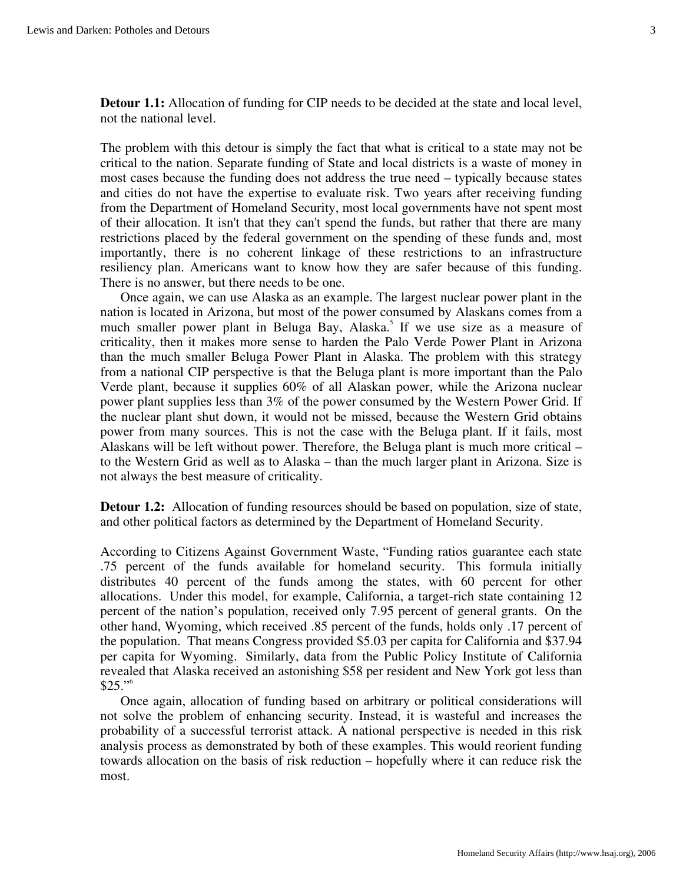**Detour 1.1:** Allocation of funding for CIP needs to be decided at the state and local level, not the national level.

The problem with this detour is simply the fact that what is critical to a state may not be critical to the nation. Separate funding of State and local districts is a waste of money in most cases because the funding does not address the true need – typically because states and cities do not have the expertise to evaluate risk. Two years after receiving funding from the Department of Homeland Security, most local governments have not spent most of their allocation. It isn't that they can't spend the funds, but rather that there are many restrictions placed by the federal government on the spending of these funds and, most importantly, there is no coherent linkage of these restrictions to an infrastructure resiliency plan. Americans want to know how they are safer because of this funding. There is no answer, but there needs to be one.

Once again, we can use Alaska as an example. The largest nuclear power plant in the nation is located in Arizona, but most of the power consumed by Alaskans comes from a much smaller power plant in Beluga Bay, Alaska.<sup>5</sup> If we use size as a measure of criticality, then it makes more sense to harden the Palo Verde Power Plant in Arizona than the much smaller Beluga Power Plant in Alaska. The problem with this strategy from a national CIP perspective is that the Beluga plant is more important than the Palo Verde plant, because it supplies 60% of all Alaskan power, while the Arizona nuclear power plant supplies less than 3% of the power consumed by the Western Power Grid. If the nuclear plant shut down, it would not be missed, because the Western Grid obtains power from many sources. This is not the case with the Beluga plant. If it fails, most Alaskans will be left without power. Therefore, the Beluga plant is much more critical – to the Western Grid as well as to Alaska – than the much larger plant in Arizona. Size is not always the best measure of criticality.

**Detour 1.2:** Allocation of funding resources should be based on population, size of state, and other political factors as determined by the Department of Homeland Security.

According to Citizens Against Government Waste, "Funding ratios guarantee each state .75 percent of the funds available for homeland security. This formula initially distributes 40 percent of the funds among the states, with 60 percent for other allocations. Under this model, for example, California, a target-rich state containing 12 percent of the nation's population, received only 7.95 percent of general grants. On the other hand, Wyoming, which received .85 percent of the funds, holds only .17 percent of the population. That means Congress provided \$5.03 per capita for California and \$37.94 per capita for Wyoming. Similarly, data from the Public Policy Institute of California revealed that Alaska received an astonishing \$58 per resident and New York got less than  $$25."$ <sup>6</sup>

Once again, allocation of funding based on arbitrary or political considerations will not solve the problem of enhancing security. Instead, it is wasteful and increases the probability of a successful terrorist attack. A national perspective is needed in this risk analysis process as demonstrated by both of these examples. This would reorient funding towards allocation on the basis of risk reduction – hopefully where it can reduce risk the most.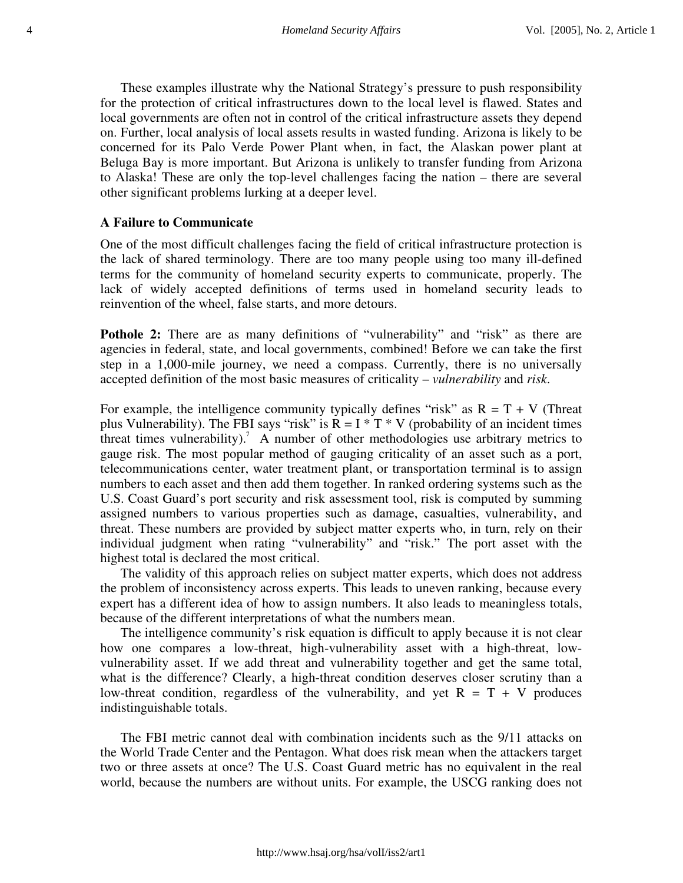These examples illustrate why the National Strategy's pressure to push responsibility for the protection of critical infrastructures down to the local level is flawed. States and local governments are often not in control of the critical infrastructure assets they depend on. Further, local analysis of local assets results in wasted funding. Arizona is likely to be concerned for its Palo Verde Power Plant when, in fact, the Alaskan power plant at Beluga Bay is more important. But Arizona is unlikely to transfer funding from Arizona to Alaska! These are only the top-level challenges facing the nation – there are several other significant problems lurking at a deeper level.

#### **A Failure to Communicate**

One of the most difficult challenges facing the field of critical infrastructure protection is the lack of shared terminology. There are too many people using too many ill-defined terms for the community of homeland security experts to communicate, properly. The lack of widely accepted definitions of terms used in homeland security leads to reinvention of the wheel, false starts, and more detours.

**Pothole 2:** There are as many definitions of "vulnerability" and "risk" as there are agencies in federal, state, and local governments, combined! Before we can take the first step in a 1,000-mile journey, we need a compass. Currently, there is no universally accepted definition of the most basic measures of criticality – *vulnerability* and *risk*.

For example, the intelligence community typically defines "risk" as  $R = T + V$  (Threat plus Vulnerability). The FBI says "risk" is  $R = I * T * V$  (probability of an incident times threat times vulnerability).<sup>7</sup> A number of other methodologies use arbitrary metrics to gauge risk. The most popular method of gauging criticality of an asset such as a port, telecommunications center, water treatment plant, or transportation terminal is to assign numbers to each asset and then add them together. In ranked ordering systems such as the U.S. Coast Guard's port security and risk assessment tool, risk is computed by summing assigned numbers to various properties such as damage, casualties, vulnerability, and threat. These numbers are provided by subject matter experts who, in turn, rely on their individual judgment when rating "vulnerability" and "risk." The port asset with the highest total is declared the most critical.

The validity of this approach relies on subject matter experts, which does not address the problem of inconsistency across experts. This leads to uneven ranking, because every expert has a different idea of how to assign numbers. It also leads to meaningless totals, because of the different interpretations of what the numbers mean.

The intelligence community's risk equation is difficult to apply because it is not clear how one compares a low-threat, high-vulnerability asset with a high-threat, lowvulnerability asset. If we add threat and vulnerability together and get the same total, what is the difference? Clearly, a high-threat condition deserves closer scrutiny than a low-threat condition, regardless of the vulnerability, and yet  $R = T + V$  produces indistinguishable totals.

The FBI metric cannot deal with combination incidents such as the 9/11 attacks on the World Trade Center and the Pentagon. What does risk mean when the attackers target two or three assets at once? The U.S. Coast Guard metric has no equivalent in the real world, because the numbers are without units. For example, the USCG ranking does not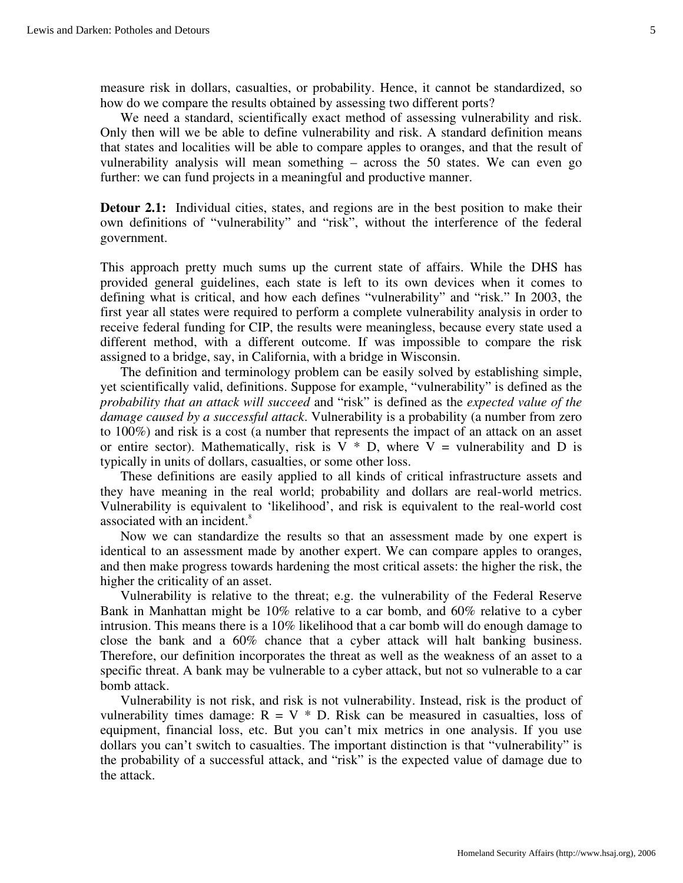measure risk in dollars, casualties, or probability. Hence, it cannot be standardized, so how do we compare the results obtained by assessing two different ports?

We need a standard, scientifically exact method of assessing vulnerability and risk. Only then will we be able to define vulnerability and risk. A standard definition means that states and localities will be able to compare apples to oranges, and that the result of vulnerability analysis will mean something – across the 50 states. We can even go further: we can fund projects in a meaningful and productive manner.

**Detour 2.1:** Individual cities, states, and regions are in the best position to make their own definitions of "vulnerability" and "risk", without the interference of the federal government.

This approach pretty much sums up the current state of affairs. While the DHS has provided general guidelines, each state is left to its own devices when it comes to defining what is critical, and how each defines "vulnerability" and "risk." In 2003, the first year all states were required to perform a complete vulnerability analysis in order to receive federal funding for CIP, the results were meaningless, because every state used a different method, with a different outcome. If was impossible to compare the risk assigned to a bridge, say, in California, with a bridge in Wisconsin.

The definition and terminology problem can be easily solved by establishing simple, yet scientifically valid, definitions. Suppose for example, "vulnerability" is defined as the *probability that an attack will succeed* and "risk" is defined as the *expected value of the damage caused by a successful attack*. Vulnerability is a probability (a number from zero to 100%) and risk is a cost (a number that represents the impact of an attack on an asset or entire sector). Mathematically, risk is  $V * D$ , where  $V =$  vulnerability and D is typically in units of dollars, casualties, or some other loss.

These definitions are easily applied to all kinds of critical infrastructure assets and they have meaning in the real world; probability and dollars are real-world metrics. Vulnerability is equivalent to 'likelihood', and risk is equivalent to the real-world cost associated with an incident.<sup>8</sup>

Now we can standardize the results so that an assessment made by one expert is identical to an assessment made by another expert. We can compare apples to oranges, and then make progress towards hardening the most critical assets: the higher the risk, the higher the criticality of an asset.

Vulnerability is relative to the threat; e.g. the vulnerability of the Federal Reserve Bank in Manhattan might be 10% relative to a car bomb, and 60% relative to a cyber intrusion. This means there is a 10% likelihood that a car bomb will do enough damage to close the bank and a 60% chance that a cyber attack will halt banking business. Therefore, our definition incorporates the threat as well as the weakness of an asset to a specific threat. A bank may be vulnerable to a cyber attack, but not so vulnerable to a car bomb attack.

Vulnerability is not risk, and risk is not vulnerability. Instead, risk is the product of vulnerability times damage:  $R = V * D$ . Risk can be measured in casualties, loss of equipment, financial loss, etc. But you can't mix metrics in one analysis. If you use dollars you can't switch to casualties. The important distinction is that "vulnerability" is the probability of a successful attack, and "risk" is the expected value of damage due to the attack.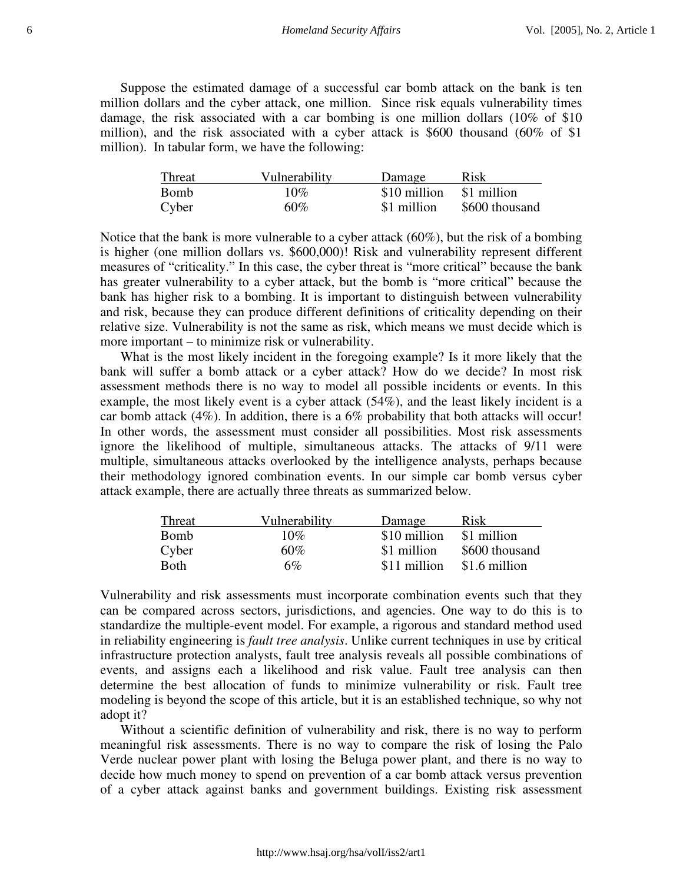Suppose the estimated damage of a successful car bomb attack on the bank is ten million dollars and the cyber attack, one million. Since risk equals vulnerability times damage, the risk associated with a car bombing is one million dollars (10% of \$10 million), and the risk associated with a cyber attack is \$600 thousand (60% of \$1 million). In tabular form, we have the following:

| Threat      | Vulnerability | Damage       | Risk           |
|-------------|---------------|--------------|----------------|
| <b>Bomb</b> | $10\%$        | \$10 million | \$1 million    |
| Cyber       | $60\%$        | \$1 million  | \$600 thousand |

Notice that the bank is more vulnerable to a cyber attack (60%), but the risk of a bombing is higher (one million dollars vs. \$600,000)! Risk and vulnerability represent different measures of "criticality." In this case, the cyber threat is "more critical" because the bank has greater vulnerability to a cyber attack, but the bomb is "more critical" because the bank has higher risk to a bombing. It is important to distinguish between vulnerability and risk, because they can produce different definitions of criticality depending on their relative size. Vulnerability is not the same as risk, which means we must decide which is more important – to minimize risk or vulnerability.

What is the most likely incident in the foregoing example? Is it more likely that the bank will suffer a bomb attack or a cyber attack? How do we decide? In most risk assessment methods there is no way to model all possible incidents or events. In this example, the most likely event is a cyber attack (54%), and the least likely incident is a car bomb attack (4%). In addition, there is a 6% probability that both attacks will occur! In other words, the assessment must consider all possibilities. Most risk assessments ignore the likelihood of multiple, simultaneous attacks. The attacks of 9/11 were multiple, simultaneous attacks overlooked by the intelligence analysts, perhaps because their methodology ignored combination events. In our simple car bomb versus cyber attack example, there are actually three threats as summarized below.

| Threat      | Vulnerability | Damage       | Risk           |
|-------------|---------------|--------------|----------------|
| <b>Bomb</b> | $10\%$        | \$10 million | \$1 million    |
| Cyber       | $60\%$        | \$1 million  | \$600 thousand |
| <b>Both</b> | 6%            | \$11 million | \$1.6 million  |

Vulnerability and risk assessments must incorporate combination events such that they can be compared across sectors, jurisdictions, and agencies. One way to do this is to standardize the multiple-event model. For example, a rigorous and standard method used in reliability engineering is *fault tree analysis*. Unlike current techniques in use by critical infrastructure protection analysts, fault tree analysis reveals all possible combinations of events, and assigns each a likelihood and risk value. Fault tree analysis can then determine the best allocation of funds to minimize vulnerability or risk. Fault tree modeling is beyond the scope of this article, but it is an established technique, so why not adopt it?

Without a scientific definition of vulnerability and risk, there is no way to perform meaningful risk assessments. There is no way to compare the risk of losing the Palo Verde nuclear power plant with losing the Beluga power plant, and there is no way to decide how much money to spend on prevention of a car bomb attack versus prevention of a cyber attack against banks and government buildings. Existing risk assessment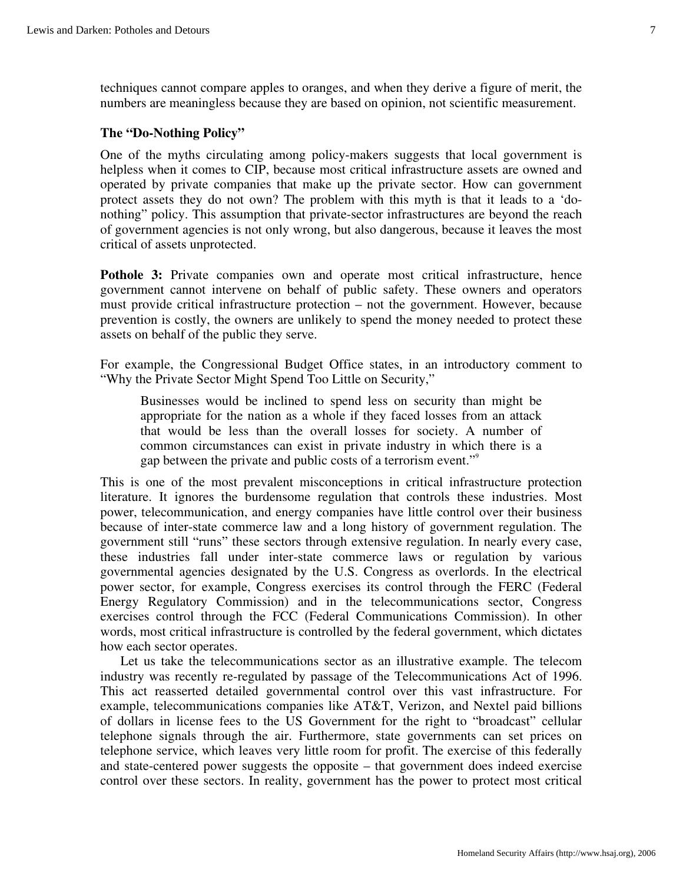techniques cannot compare apples to oranges, and when they derive a figure of merit, the numbers are meaningless because they are based on opinion, not scientific measurement.

#### **The "Do-Nothing Policy"**

One of the myths circulating among policy-makers suggests that local government is helpless when it comes to CIP, because most critical infrastructure assets are owned and operated by private companies that make up the private sector. How can government protect assets they do not own? The problem with this myth is that it leads to a 'donothing" policy. This assumption that private-sector infrastructures are beyond the reach of government agencies is not only wrong, but also dangerous, because it leaves the most critical of assets unprotected.

**Pothole 3:** Private companies own and operate most critical infrastructure, hence government cannot intervene on behalf of public safety. These owners and operators must provide critical infrastructure protection – not the government. However, because prevention is costly, the owners are unlikely to spend the money needed to protect these assets on behalf of the public they serve.

For example, the Congressional Budget Office states, in an introductory comment to "Why the Private Sector Might Spend Too Little on Security,"

Businesses would be inclined to spend less on security than might be appropriate for the nation as a whole if they faced losses from an attack that would be less than the overall losses for society. A number of common circumstances can exist in private industry in which there is a gap between the private and public costs of a terrorism event."<sup>9</sup>

This is one of the most prevalent misconceptions in critical infrastructure protection literature. It ignores the burdensome regulation that controls these industries. Most power, telecommunication, and energy companies have little control over their business because of inter-state commerce law and a long history of government regulation. The government still "runs" these sectors through extensive regulation. In nearly every case, these industries fall under inter-state commerce laws or regulation by various governmental agencies designated by the U.S. Congress as overlords. In the electrical power sector, for example, Congress exercises its control through the FERC (Federal Energy Regulatory Commission) and in the telecommunications sector, Congress exercises control through the FCC (Federal Communications Commission). In other words, most critical infrastructure is controlled by the federal government, which dictates how each sector operates.

Let us take the telecommunications sector as an illustrative example. The telecom industry was recently re-regulated by passage of the Telecommunications Act of 1996. This act reasserted detailed governmental control over this vast infrastructure. For example, telecommunications companies like AT&T, Verizon, and Nextel paid billions of dollars in license fees to the US Government for the right to "broadcast" cellular telephone signals through the air. Furthermore, state governments can set prices on telephone service, which leaves very little room for profit. The exercise of this federally and state-centered power suggests the opposite – that government does indeed exercise control over these sectors. In reality, government has the power to protect most critical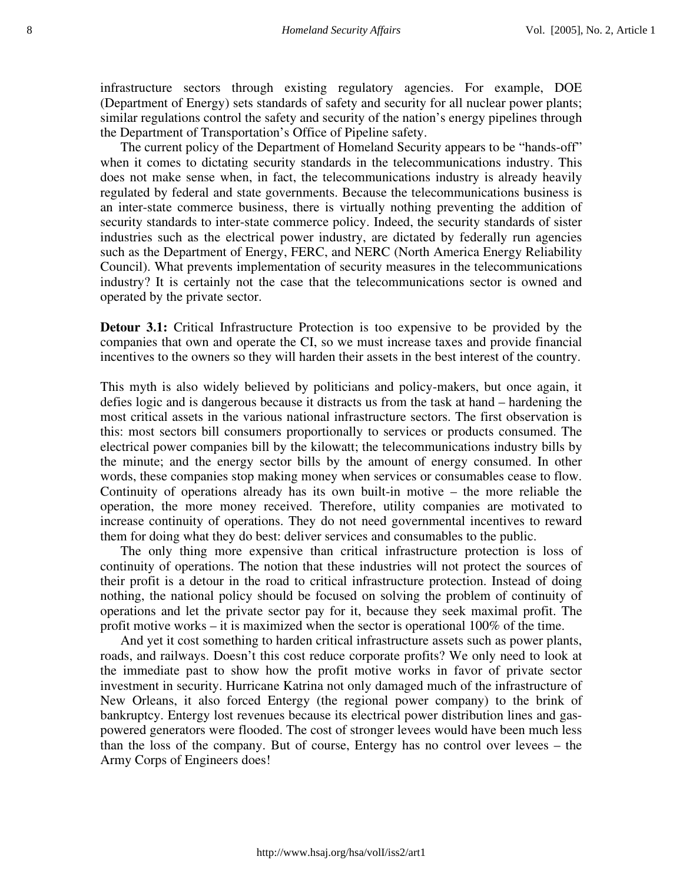infrastructure sectors through existing regulatory agencies. For example, DOE (Department of Energy) sets standards of safety and security for all nuclear power plants; similar regulations control the safety and security of the nation's energy pipelines through the Department of Transportation's Office of Pipeline safety.

The current policy of the Department of Homeland Security appears to be "hands-off" when it comes to dictating security standards in the telecommunications industry. This does not make sense when, in fact, the telecommunications industry is already heavily regulated by federal and state governments. Because the telecommunications business is an inter-state commerce business, there is virtually nothing preventing the addition of security standards to inter-state commerce policy. Indeed, the security standards of sister industries such as the electrical power industry, are dictated by federally run agencies such as the Department of Energy, FERC, and NERC (North America Energy Reliability Council). What prevents implementation of security measures in the telecommunications industry? It is certainly not the case that the telecommunications sector is owned and operated by the private sector.

**Detour 3.1:** Critical Infrastructure Protection is too expensive to be provided by the companies that own and operate the CI, so we must increase taxes and provide financial incentives to the owners so they will harden their assets in the best interest of the country.

This myth is also widely believed by politicians and policy-makers, but once again, it defies logic and is dangerous because it distracts us from the task at hand – hardening the most critical assets in the various national infrastructure sectors. The first observation is this: most sectors bill consumers proportionally to services or products consumed. The electrical power companies bill by the kilowatt; the telecommunications industry bills by the minute; and the energy sector bills by the amount of energy consumed. In other words, these companies stop making money when services or consumables cease to flow. Continuity of operations already has its own built-in motive – the more reliable the operation, the more money received. Therefore, utility companies are motivated to increase continuity of operations. They do not need governmental incentives to reward them for doing what they do best: deliver services and consumables to the public.

The only thing more expensive than critical infrastructure protection is loss of continuity of operations. The notion that these industries will not protect the sources of their profit is a detour in the road to critical infrastructure protection. Instead of doing nothing, the national policy should be focused on solving the problem of continuity of operations and let the private sector pay for it, because they seek maximal profit. The profit motive works – it is maximized when the sector is operational 100% of the time.

And yet it cost something to harden critical infrastructure assets such as power plants, roads, and railways. Doesn't this cost reduce corporate profits? We only need to look at the immediate past to show how the profit motive works in favor of private sector investment in security. Hurricane Katrina not only damaged much of the infrastructure of New Orleans, it also forced Entergy (the regional power company) to the brink of bankruptcy. Entergy lost revenues because its electrical power distribution lines and gaspowered generators were flooded. The cost of stronger levees would have been much less than the loss of the company. But of course, Entergy has no control over levees – the Army Corps of Engineers does!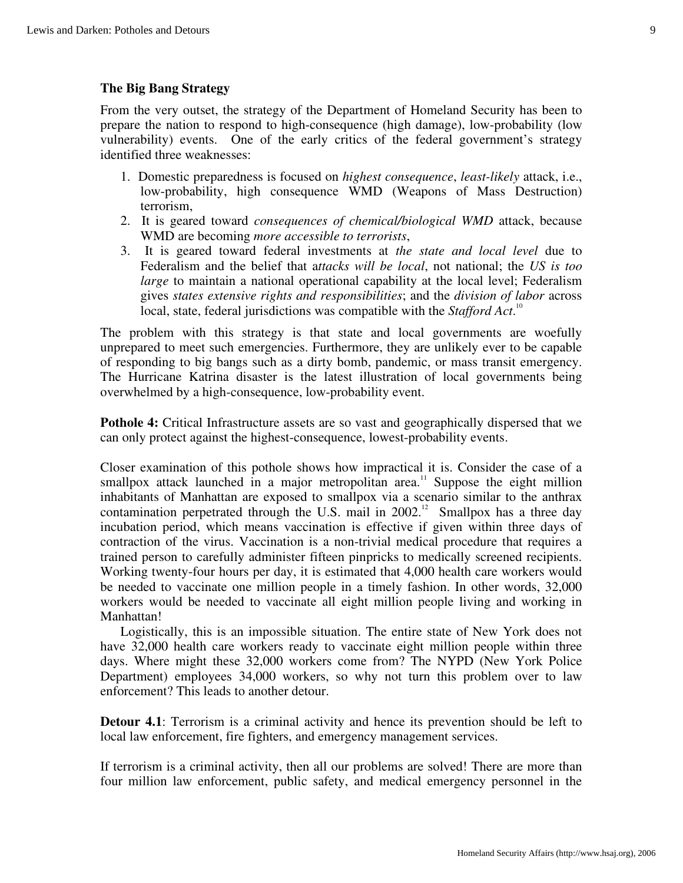### **The Big Bang Strategy**

From the very outset, the strategy of the Department of Homeland Security has been to prepare the nation to respond to high-consequence (high damage), low-probability (low vulnerability) events. One of the early critics of the federal government's strategy identified three weaknesses:

- 1. Domestic preparedness is focused on *highest consequence*, *least-likely* attack, i.e., low-probability, high consequence WMD (Weapons of Mass Destruction) terrorism,
- 2. It is geared toward *consequences of chemical/biological WMD* attack, because WMD are becoming *more accessible to terrorists*,
- 3. It is geared toward federal investments at *the state and local level* due to Federalism and the belief that a*ttacks will be local*, not national; the *US is too large* to maintain a national operational capability at the local level; Federalism gives *states extensive rights and responsibilities*; and the *division of labor* across local, state, federal jurisdictions was compatible with the *Stafford Act*.<sup>10</sup>

The problem with this strategy is that state and local governments are woefully unprepared to meet such emergencies. Furthermore, they are unlikely ever to be capable of responding to big bangs such as a dirty bomb, pandemic, or mass transit emergency. The Hurricane Katrina disaster is the latest illustration of local governments being overwhelmed by a high-consequence, low-probability event.

**Pothole 4:** Critical Infrastructure assets are so vast and geographically dispersed that we can only protect against the highest-consequence, lowest-probability events.

Closer examination of this pothole shows how impractical it is. Consider the case of a smallpox attack launched in a major metropolitan area.<sup>11</sup> Suppose the eight million inhabitants of Manhattan are exposed to smallpox via a scenario similar to the anthrax contamination perpetrated through the U.S. mail in  $2002$ .<sup>12</sup> Smallpox has a three day incubation period, which means vaccination is effective if given within three days of contraction of the virus. Vaccination is a non-trivial medical procedure that requires a trained person to carefully administer fifteen pinpricks to medically screened recipients. Working twenty-four hours per day, it is estimated that 4,000 health care workers would be needed to vaccinate one million people in a timely fashion. In other words, 32,000 workers would be needed to vaccinate all eight million people living and working in Manhattan!

Logistically, this is an impossible situation. The entire state of New York does not have 32,000 health care workers ready to vaccinate eight million people within three days. Where might these 32,000 workers come from? The NYPD (New York Police Department) employees 34,000 workers, so why not turn this problem over to law enforcement? This leads to another detour.

**Detour 4.1**: Terrorism is a criminal activity and hence its prevention should be left to local law enforcement, fire fighters, and emergency management services.

If terrorism is a criminal activity, then all our problems are solved! There are more than four million law enforcement, public safety, and medical emergency personnel in the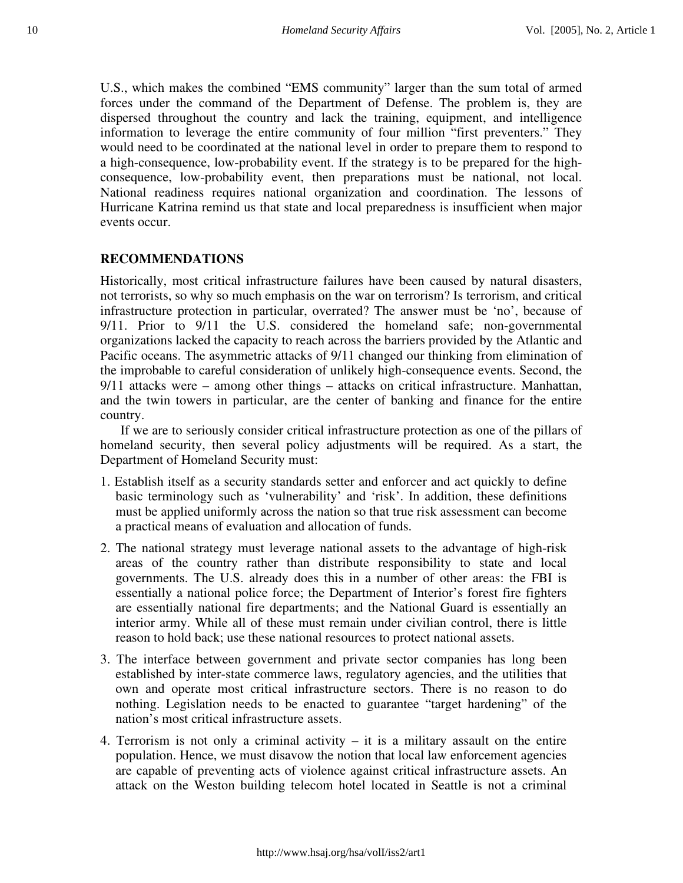U.S., which makes the combined "EMS community" larger than the sum total of armed forces under the command of the Department of Defense. The problem is, they are dispersed throughout the country and lack the training, equipment, and intelligence information to leverage the entire community of four million "first preventers." They would need to be coordinated at the national level in order to prepare them to respond to a high-consequence, low-probability event. If the strategy is to be prepared for the highconsequence, low-probability event, then preparations must be national, not local. National readiness requires national organization and coordination. The lessons of Hurricane Katrina remind us that state and local preparedness is insufficient when major events occur.

#### **RECOMMENDATIONS**

Historically, most critical infrastructure failures have been caused by natural disasters, not terrorists, so why so much emphasis on the war on terrorism? Is terrorism, and critical infrastructure protection in particular, overrated? The answer must be 'no', because of 9/11. Prior to 9/11 the U.S. considered the homeland safe; non-governmental organizations lacked the capacity to reach across the barriers provided by the Atlantic and Pacific oceans. The asymmetric attacks of 9/11 changed our thinking from elimination of the improbable to careful consideration of unlikely high-consequence events. Second, the 9/11 attacks were – among other things – attacks on critical infrastructure. Manhattan, and the twin towers in particular, are the center of banking and finance for the entire country.

If we are to seriously consider critical infrastructure protection as one of the pillars of homeland security, then several policy adjustments will be required. As a start, the Department of Homeland Security must:

- 1. Establish itself as a security standards setter and enforcer and act quickly to define basic terminology such as 'vulnerability' and 'risk'. In addition, these definitions must be applied uniformly across the nation so that true risk assessment can become a practical means of evaluation and allocation of funds.
- 2. The national strategy must leverage national assets to the advantage of high-risk areas of the country rather than distribute responsibility to state and local governments. The U.S. already does this in a number of other areas: the FBI is essentially a national police force; the Department of Interior's forest fire fighters are essentially national fire departments; and the National Guard is essentially an interior army. While all of these must remain under civilian control, there is little reason to hold back; use these national resources to protect national assets.
- 3. The interface between government and private sector companies has long been established by inter-state commerce laws, regulatory agencies, and the utilities that own and operate most critical infrastructure sectors. There is no reason to do nothing. Legislation needs to be enacted to guarantee "target hardening" of the nation's most critical infrastructure assets.
- 4. Terrorism is not only a criminal activity it is a military assault on the entire population. Hence, we must disavow the notion that local law enforcement agencies are capable of preventing acts of violence against critical infrastructure assets. An attack on the Weston building telecom hotel located in Seattle is not a criminal